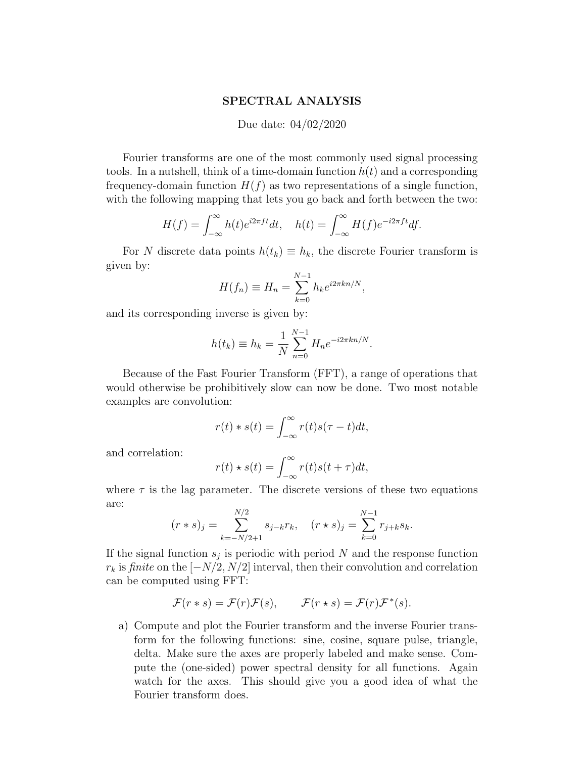## SPECTRAL ANALYSIS

## Due date: 04/02/2020

Fourier transforms are one of the most commonly used signal processing tools. In a nutshell, think of a time-domain function  $h(t)$  and a corresponding frequency-domain function  $H(f)$  as two representations of a single function, with the following mapping that lets you go back and forth between the two:

$$
H(f) = \int_{-\infty}^{\infty} h(t)e^{i2\pi ft}dt, \quad h(t) = \int_{-\infty}^{\infty} H(f)e^{-i2\pi ft}df.
$$

For N discrete data points  $h(t_k) \equiv h_k$ , the discrete Fourier transform is given by:

$$
H(f_n) \equiv H_n = \sum_{k=0}^{N-1} h_k e^{i2\pi kn/N},
$$

and its corresponding inverse is given by:

$$
h(t_k) \equiv h_k = \frac{1}{N} \sum_{n=0}^{N-1} H_n e^{-i2\pi kn/N}.
$$

Because of the Fast Fourier Transform (FFT), a range of operations that would otherwise be prohibitively slow can now be done. Two most notable examples are convolution:

$$
r(t) * s(t) = \int_{-\infty}^{\infty} r(t)s(\tau - t)dt,
$$

and correlation:

$$
r(t) \star s(t) = \int_{-\infty}^{\infty} r(t)s(t+\tau)dt,
$$

where  $\tau$  is the lag parameter. The discrete versions of these two equations are:

$$
(r * s)_j = \sum_{k=-N/2+1}^{N/2} s_{j-k} r_k
$$
,  $(r * s)_j = \sum_{k=0}^{N-1} r_{j+k} s_k$ .

If the signal function  $s_j$  is periodic with period N and the response function  $r_k$  is finite on the  $[-N/2, N/2]$  interval, then their convolution and correlation can be computed using FFT:

$$
\mathcal{F}(r * s) = \mathcal{F}(r)\mathcal{F}(s), \qquad \mathcal{F}(r * s) = \mathcal{F}(r)\mathcal{F}^*(s).
$$

a) Compute and plot the Fourier transform and the inverse Fourier transform for the following functions: sine, cosine, square pulse, triangle, delta. Make sure the axes are properly labeled and make sense. Compute the (one-sided) power spectral density for all functions. Again watch for the axes. This should give you a good idea of what the Fourier transform does.